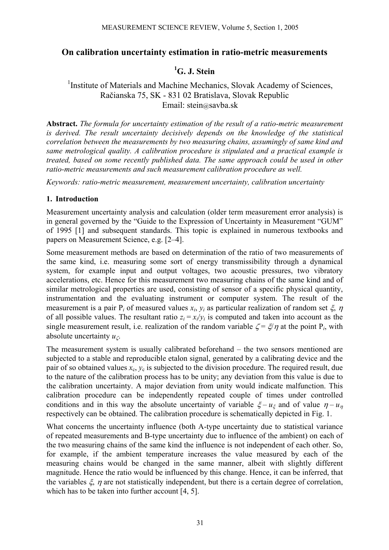# **On calibration uncertainty estimation in ratio-metric measurements**

# <sup>1</sup>G. J. Stein

# <sup>1</sup>Institute of Materials and Machine Mechanics, Slovak Academy of Sciences, Račianska 75, SK - 831 02 Bratislava, Slovak Republic Email: stein@savba.sk

**Abstract.** *The formula for uncertainty estimation of the result of a ratio-metric measurement is derived. The result uncertainty decisively depends on the knowledge of the statistical correlation between the measurements by two measuring chains, assumingly of same kind and same metrological quality. A calibration procedure is stipulated and a practical example is treated, based on some recently published data. The same approach could be used in other ratio-metric measurements and such measurement calibration procedure as well.* 

*Keywords: ratio-metric measurement, measurement uncertainty, calibration uncertainty* 

### **1. Introduction**

Measurement uncertainty analysis and calculation (older term measurement error analysis) is in general governed by the "Guide to the Expression of Uncertainty in Measurement "GUM" of 1995 [1] and subsequent standards. This topic is explained in numerous textbooks and papers on Measurement Science, e.g. [2–4].

Some measurement methods are based on determination of the ratio of two measurements of the same kind, i.e. measuring some sort of energy transmissibility through a dynamical system, for example input and output voltages, two acoustic pressures, two vibratory accelerations, etc. Hence for this measurement two measuring chains of the same kind and of similar metrological properties are used, consisting of sensor of a specific physical quantity, instrumentation and the evaluating instrument or computer system. The result of the measurement is a pair  $P_i$  of measured values  $x_i$ ,  $y_i$  as particular realization of random set  $\xi$ ,  $\eta$ of all possible values. The resultant ratio  $z_i = x_i/y_i$  is computed and taken into account as the single measurement result, i.e. realization of the random variable  $\zeta = \zeta/\eta$  at the point P<sub>i</sub>, with absolute uncertainty *u*ζ.

The measurement system is usually calibrated beforehand – the two sensors mentioned are subjected to a stable and reproducible etalon signal, generated by a calibrating device and the pair of so obtained values  $x_c$ ,  $y_c$  is subjected to the division procedure. The required result, due to the nature of the calibration process has to be unity; any deviation from this value is due to the calibration uncertainty. A major deviation from unity would indicate malfunction. This calibration procedure can be independently repeated couple of times under controlled conditions and in this way the absolute uncertainty of variable  $\zeta - u_{\zeta}$  and of value  $\eta - u_{\eta}$ respectively can be obtained. The calibration procedure is schematically depicted in Fig. 1.

What concerns the uncertainty influence (both A-type uncertainty due to statistical variance of repeated measurements and B-type uncertainty due to influence of the ambient) on each of the two measuring chains of the same kind the influence is not independent of each other. So, for example, if the ambient temperature increases the value measured by each of the measuring chains would be changed in the same manner, albeit with slightly different magnitude. Hence the ratio would be influenced by this change. Hence, it can be inferred, that the variables  $\xi$ ,  $\eta$  are not statistically independent, but there is a certain degree of correlation, which has to be taken into further account [4, 5].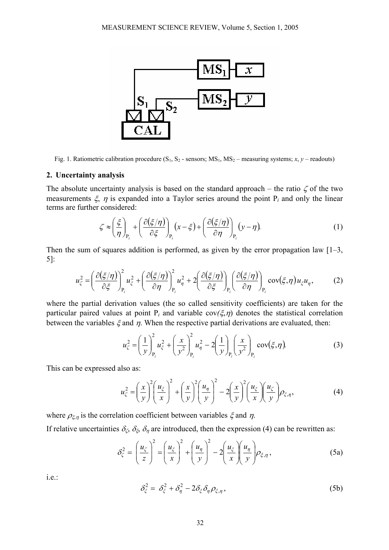

Fig. 1. Ratiometric calibration procedure  $(S_1, S_2$  - sensors;  $MS_1, MS_2$  – measuring systems; *x*, *y* – readouts)

#### **2. Uncertainty analysis**

The absolute uncertainty analysis is based on the standard approach – the ratio  $\zeta$  of the two measurements  $\xi$ ,  $\eta$  is expanded into a Taylor series around the point P<sub>i</sub> and only the linear terms are further considered:

$$
\zeta \approx \left(\frac{\xi}{\eta}\right)_{P_i} + \left(\frac{\partial(\xi/\eta)}{\partial \xi}\right)_{P_i} (x - \xi) + \left(\frac{\partial(\xi/\eta)}{\partial \eta}\right)_{P_i} (y - \eta). \tag{1}
$$

Then the sum of squares addition is performed, as given by the error propagation law  $[1-3, 1]$ 5]:

$$
u_{\zeta}^{2} = \left(\frac{\partial(\xi/\eta)}{\partial \xi}\right)_{P_{i}}^{2} u_{\xi}^{2} + \left(\frac{\partial(\xi/\eta)}{\partial \eta}\right)_{P_{i}}^{2} u_{\eta}^{2} + 2\left(\frac{\partial(\xi/\eta)}{\partial \xi}\right)_{P_{i}} \left(\frac{\partial(\xi/\eta)}{\partial \eta}\right)_{P_{i}} \text{cov}(\xi, \eta) u_{\xi} u_{\eta},\tag{2}
$$

where the partial derivation values (the so called sensitivity coefficients) are taken for the particular paired values at point  $P_i$  and variable  $cov(\xi, \eta)$  denotes the statistical correlation between the variables  $\xi$  and  $\eta$ . When the respective partial derivations are evaluated, then:

$$
u_{\zeta}^{2} = \left(\frac{1}{y}\right)_{P_{i}}^{2} u_{\zeta}^{2} + \left(\frac{x}{y^{2}}\right)_{P_{i}}^{2} u_{\eta}^{2} - 2\left(\frac{1}{y}\right)_{P_{i}} \left(\frac{x}{y^{2}}\right)_{P_{i}} \text{cov}(\xi, \eta). \tag{3}
$$

This can be expressed also as:

$$
u_{\zeta}^{2} = \left(\frac{x}{y}\right)^{2} \left(\frac{u_{\zeta}}{x}\right)^{2} + \left(\frac{x}{y}\right)^{2} \left(\frac{u_{\eta}}{y}\right)^{2} - 2\left(\frac{x}{y}\right)^{2} \left(\frac{u_{\zeta}}{x}\right) \left(\frac{u_{\zeta}}{y}\right) \rho_{\zeta,\eta},\tag{4}
$$

where  $\rho_{\xi,\eta}$  is the correlation coefficient between variables  $\xi$  and  $\eta$ .

If relative uncertainties  $\delta_{\zeta}$ ,  $\delta_{\zeta}$ ,  $\delta_{\eta}$  are introduced, then the expression (4) can be rewritten as:

$$
\delta_{\zeta}^{2} = \left(\frac{u_{\zeta}}{z}\right)^{2} = \left(\frac{u_{\zeta}}{x}\right)^{2} + \left(\frac{u_{\eta}}{y}\right)^{2} - 2\left(\frac{u_{\zeta}}{x}\right)\left(\frac{u_{\eta}}{y}\right)\rho_{\zeta,\eta},
$$
\n(5a)

i.e.:

$$
\delta_{\xi}^{2} = \delta_{\xi}^{2} + \delta_{\eta}^{2} - 2\delta_{\xi}\delta_{\eta}\rho_{\xi,\eta}, \qquad (5b)
$$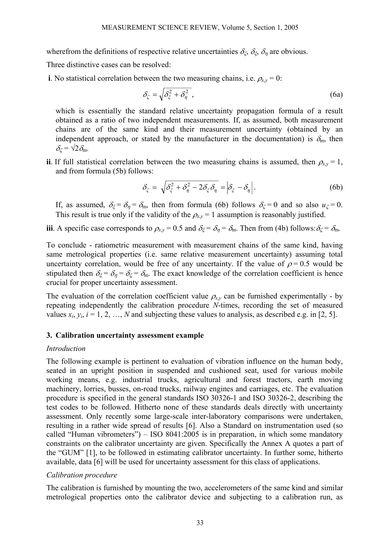wherefrom the definitions of respective relative uncertainties  $\delta_{\zeta}$ ,  $\delta_{\zeta}$ ,  $\delta_{\eta}$  are obvious.

Three distinctive cases can be resolved:

**i**. No statistical correlation between the two measuring chains, i.e.  $\rho_{x,y} = 0$ :

$$
\delta_{\zeta} = \sqrt{\delta_{\zeta}^2 + \delta_{\eta}^2},\tag{6a}
$$

which is essentially the standard relative uncertainty propagation formula of a result obtained as a ratio of two independent measurements. If, as assumed, both measurement chains are of the same kind and their measurement uncertainty (obtained by an independent approach, or stated by the manufacturer in the documentation) is  $\delta_{m}$ , then  $\delta_{\zeta} = \sqrt{2} \delta_{\rm m}$ .

**ii**. If full statistical correlation between the two measuring chains is assumed, then  $\rho_{xy} = 1$ , and from formula (5b) follows:

$$
\delta_{\zeta} = \sqrt{\delta_{\zeta}^2 + \delta_{\eta}^2 - 2\delta_{\zeta}\delta_{\eta}} = \left|\delta_{\zeta} - \delta_{\eta}\right|.
$$
 (6b)

If, as assumed,  $\delta_{\xi} = \delta_{\eta} = \delta_{m}$ , then from formula (6b) follows  $\delta_{\zeta} = 0$  and so also  $u_{\zeta} = 0$ . This result is true only if the validity of the  $\rho_{xy} = 1$  assumption is reasonably justified.

**iii**. A specific case corresponds to  $\rho_{x,y} = 0.5$  and  $\delta_{\xi} = \delta_{\eta} = \delta_{\eta}$ . Then from (4b) follows:  $\delta_{\zeta} = \delta_{\eta}$ .

To conclude - ratiometric measurement with measurement chains of the same kind, having same metrological properties (i.e. same relative measurement uncertainty) assuming total uncertainty correlation, would be free of any uncertainty. If the value of  $\rho = 0.5$  would be stipulated then  $\delta_{\xi} = \delta_{\eta} = \delta_{\zeta} = \delta_{\eta}$ . The exact knowledge of the correlation coefficient is hence crucial for proper uncertainty assessment.

The evaluation of the correlation coefficient value  $\rho_{xy}$  can be furnished experimentally - by repeating independently the calibration procedure *N*-times, recording the set of measured values  $x_i$ ,  $y_i$ ,  $i = 1, 2, ..., N$  and subjecting these values to analysis, as described e.g. in [2, 5].

### **3. Calibration uncertainty assessment example**

### *Introduction*

The following example is pertinent to evaluation of vibration influence on the human body, seated in an upright position in suspended and cushioned seat, used for various mobile working means, e.g. industrial trucks, agricultural and forest tractors, earth moving machinery, lorries, busses, on-road trucks, railway engines and carriages, etc. The evaluation procedure is specified in the general standards ISO 30326-1 and ISO 30326-2, describing the test codes to be followed. Hitherto none of these standards deals directly with uncertainty assessment. Only recently some large-scale inter-laboratory comparisons were undertaken, resulting in a rather wide spread of results [6]. Also a Standard on instrumentation used (so called "Human vibrometers") – ISO 8041:2005 is in preparation, in which some mandatory constraints on the calibrator uncertainty are given. Specifically the Annex A quotes a part of the "GUM" [1], to be followed in estimating calibrator uncertainty. In further some, hitherto available, data [6] will be used for uncertainty assessment for this class of applications.

### *Calibration procedure*

The calibration is furnished by mounting the two, accelerometers of the same kind and similar metrological properties onto the calibrator device and subjecting to a calibration run, as